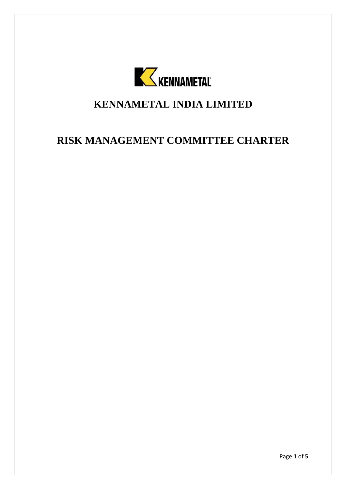

## **KENNAMETAL INDIA LIMITED**

# **RISK MANAGEMENT COMMITTEE CHARTER**

Page **1** of **5**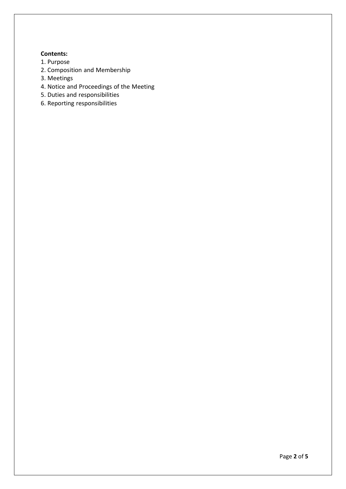### **Contents:**

- 1. Purpose
- 2. Composition and Membership
- 3. Meetings
- 4. Notice and Proceedings of the Meeting
- 5. Duties and responsibilities
- 6. Reporting responsibilities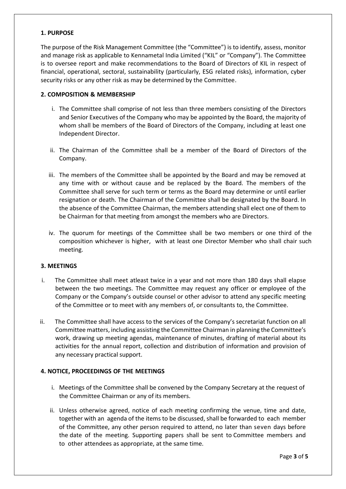#### **1. PURPOSE**

The purpose of the Risk Management Committee (the "Committee") is to identify, assess, monitor and manage risk as applicable to Kennametal India Limited ("KIL" or "Company"). The Committee is to oversee report and make recommendations to the Board of Directors of KIL in respect of financial, operational, sectoral, sustainability (particularly, ESG related risks), information, cyber security risks or any other risk as may be determined by the Committee.

#### **2. COMPOSITION & MEMBERSHIP**

- i. The Committee shall comprise of not less than three members consisting of the Directors and Senior Executives of the Company who may be appointed by the Board, the majority of whom shall be members of the Board of Directors of the Company, including at least one Independent Director.
- ii. The Chairman of the Committee shall be a member of the Board of Directors of the Company.
- iii. The members of the Committee shall be appointed by the Board and may be removed at any time with or without cause and be replaced by the Board. The members of the Committee shall serve for such term or terms as the Board may determine or until earlier resignation or death. The Chairman of the Committee shall be designated by the Board. In the absence of the Committee Chairman, the members attending shall elect one of them to be Chairman for that meeting from amongst the members who are Directors.
- iv. The quorum for meetings of the Committee shall be two members or one third of the composition whichever is higher, with at least one Director Member who shall chair such meeting.

#### **3. MEETINGS**

- i. The Committee shall meet atleast twice in a year and not more than 180 days shall elapse between the two meetings. The Committee may request any officer or employee of the Company or the Company's outside counsel or other advisor to attend any specific meeting of the Committee or to meet with any members of, or consultants to, the Committee.
- ii. The Committee shall have access to the services of the Company's secretariat function on all Committee matters, including assisting the Committee Chairman in planning the Committee's work, drawing up meeting agendas, maintenance of minutes, drafting of material about its activities for the annual report, collection and distribution of information and provision of any necessary practical support.

### **4. NOTICE, PROCEEDINGS OF THE MEETINGS**

- i. Meetings of the Committee shall be convened by the Company Secretary at the request of the Committee Chairman or any of its members.
- ii. Unless otherwise agreed, notice of each meeting confirming the venue, time and date, together with an agenda of the items to be discussed, shall be forwarded to each member of the Committee, any other person required to attend, no later than seven days before the date of the meeting. Supporting papers shall be sent to Committee members and to other attendees as appropriate, at the same time.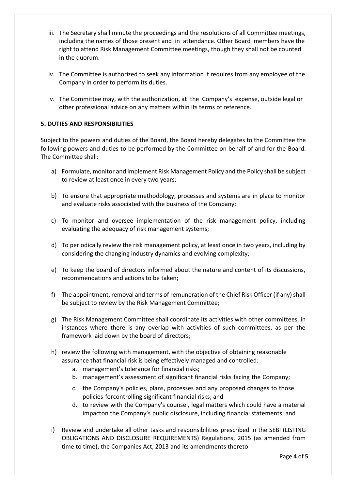- iii. The Secretary shall minute the proceedings and the resolutions of all Committee meetings, including the names of those present and in attendance. Other Board members have the right to attend Risk Management Committee meetings, though they shall not be counted in the quorum.
- iv. The Committee is authorized to seek any information it requires from any employee of the Company in order to perform its duties.
- v. The Committee may, with the authorization, at the Company's expense, outside legal or other professional advice on any matters within its terms of reference.

## **5. DUTIES AND RESPONSIBILITIES**

Subject to the powers and duties of the Board, the Board hereby delegates to the Committee the following powers and duties to be performed by the Committee on behalf of and for the Board. The Committee shall:

- a) Formulate, monitor and implement Risk Management Policy and the Policy shall be subject to review at least once in every two years;
- b) To ensure that appropriate methodology, processes and systems are in place to monitor and evaluate risks associated with the business of the Company;
- c) To monitor and oversee implementation of the risk management policy, including evaluating the adequacy of risk management systems;
- d) To periodically review the risk management policy, at least once in two years, including by considering the changing industry dynamics and evolving complexity;
- e) To keep the board of directors informed about the nature and content of its discussions, recommendations and actions to be taken;
- f) The appointment, removal and terms of remuneration of the Chief Risk Officer (if any) shall be subject to review by the Risk Management Committee;
- g) The Risk Management Committee shall coordinate its activities with other committees, in instances where there is any overlap with activities of such committees, as per the framework laid down by the board of directors;
- h) review the following with management, with the objective of obtaining reasonable assurance that financial risk is being effectively managed and controlled:
	- a. management's tolerance for financial risks;
	- b. management's assessment of significant financial risks facing the Company;
	- c. the Company's policies, plans, processes and any proposed changes to those policies forcontrolling significant financial risks; and
	- d. to review with the Company's counsel, legal matters which could have a material impacton the Company's public disclosure, including financial statements; and
- i) Review and undertake all other tasks and responsibilities prescribed in the SEBI (LISTING OBLIGATIONS AND DISCLOSURE REQUIREMENTS) Regulations, 2015 (as amended from time to time), the Companies Act, 2013 and its amendments thereto